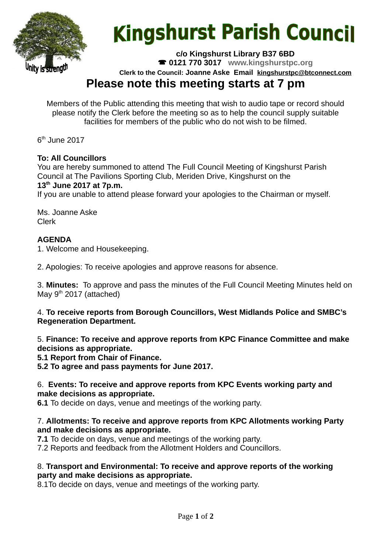

# **Kingshurst Parish Council**

**c/o Kingshurst Library B37 6BD**

**0121 770 3017 www.kingshurstpc.org**

**Clerk to the Council: Joanne Aske Email [kingshurstpc@btconnect.com](mailto:kingshurstpc@btconnect.com)**

# **Please note this meeting starts at 7 pm**

Members of the Public attending this meeting that wish to audio tape or record should please notify the Clerk before the meeting so as to help the council supply suitable facilities for members of the public who do not wish to be filmed.

 $6<sup>th</sup>$  June 2017

# **To: All Councillors**

You are hereby summoned to attend The Full Council Meeting of Kingshurst Parish Council at The Pavilions Sporting Club, Meriden Drive, Kingshurst on the **13th June 2017 at 7p.m.**

If you are unable to attend please forward your apologies to the Chairman or myself.

Ms. Joanne Aske Clerk

# **AGENDA**

1. Welcome and Housekeeping.

2. Apologies: To receive apologies and approve reasons for absence.

3. **Minutes:** To approve and pass the minutes of the Full Council Meeting Minutes held on May  $9<sup>th</sup>$  2017 (attached)

#### 4. **To receive reports from Borough Councillors, West Midlands Police and SMBC's Regeneration Department.**

5. **Finance: To receive and approve reports from KPC Finance Committee and make decisions as appropriate.**

**5.1 Report from Chair of Finance.**

**5.2 To agree and pass payments for June 2017.**

#### 6. **Events: To receive and approve reports from KPC Events working party and make decisions as appropriate.**

**6.1** To decide on days, venue and meetings of the working party.

#### 7. **Allotments: To receive and approve reports from KPC Allotments working Party and make decisions as appropriate.**

**7.1** To decide on days, venue and meetings of the working party.

7.2 Reports and feedback from the Allotment Holders and Councillors.

#### 8. **Transport and Environmental: To receive and approve reports of the working party and make decisions as appropriate.**

8.1To decide on days, venue and meetings of the working party.